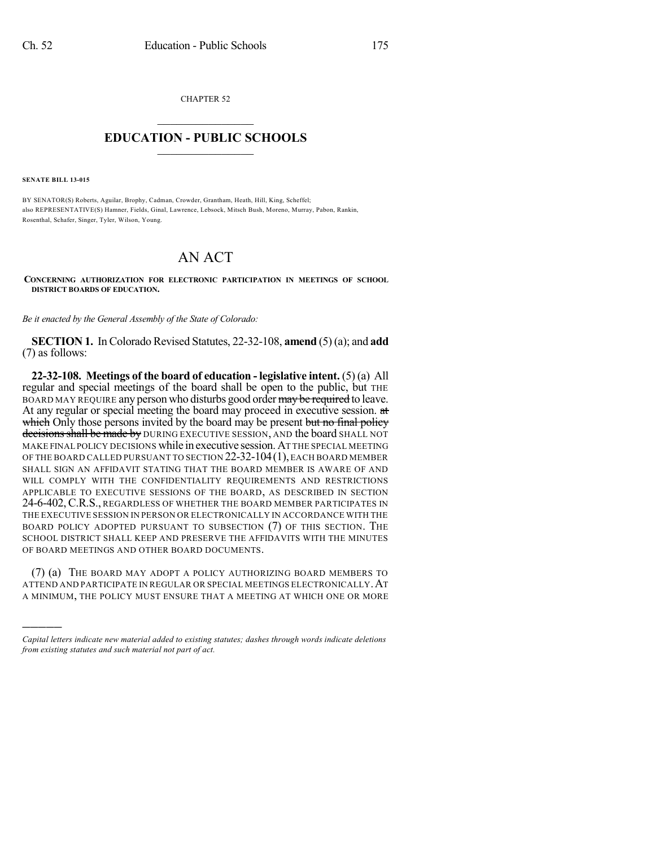CHAPTER 52

## $\mathcal{L}_\text{max}$  . The set of the set of the set of the set of the set of the set of the set of the set of the set of the set of the set of the set of the set of the set of the set of the set of the set of the set of the set **EDUCATION - PUBLIC SCHOOLS**  $\_$   $\_$   $\_$   $\_$   $\_$   $\_$   $\_$   $\_$   $\_$

**SENATE BILL 13-015**

)))))

BY SENATOR(S) Roberts, Aguilar, Brophy, Cadman, Crowder, Grantham, Heath, Hill, King, Scheffel; also REPRESENTATIVE(S) Hamner, Fields, Ginal, Lawrence, Lebsock, Mitsch Bush, Moreno, Murray, Pabon, Rankin, Rosenthal, Schafer, Singer, Tyler, Wilson, Young.

## AN ACT

**CONCERNING AUTHORIZATION FOR ELECTRONIC PARTICIPATION IN MEETINGS OF SCHOOL DISTRICT BOARDS OF EDUCATION.**

*Be it enacted by the General Assembly of the State of Colorado:*

**SECTION 1.** In Colorado Revised Statutes, 22-32-108, **amend** (5)(a); and **add** (7) as follows:

**22-32-108. Meetings of the board of education - legislative intent.** (5) (a) All regular and special meetings of the board shall be open to the public, but THE BOARD MAY REQUIRE any person who disturbs good order may be required to leave. At any regular or special meeting the board may proceed in executive session. at which Only those persons invited by the board may be present but no final policy decisions shall be made by DURING EXECUTIVE SESSION, AND the board SHALL NOT MAKE FINAL POLICY DECISIONS while in executive session.AT THE SPECIAL MEETING OF THE BOARD CALLED PURSUANT TO SECTION 22-32-104(1), EACH BOARD MEMBER SHALL SIGN AN AFFIDAVIT STATING THAT THE BOARD MEMBER IS AWARE OF AND WILL COMPLY WITH THE CONFIDENTIALITY REQUIREMENTS AND RESTRICTIONS APPLICABLE TO EXECUTIVE SESSIONS OF THE BOARD, AS DESCRIBED IN SECTION 24-6-402, C.R.S., REGARDLESS OF WHETHER THE BOARD MEMBER PARTICIPATES IN THE EXECUTIVE SESSION IN PERSON OR ELECTRONICALLY IN ACCORDANCE WITH THE BOARD POLICY ADOPTED PURSUANT TO SUBSECTION (7) OF THIS SECTION. THE SCHOOL DISTRICT SHALL KEEP AND PRESERVE THE AFFIDAVITS WITH THE MINUTES OF BOARD MEETINGS AND OTHER BOARD DOCUMENTS.

(7) (a) THE BOARD MAY ADOPT A POLICY AUTHORIZING BOARD MEMBERS TO ATTEND AND PARTICIPATE IN REGULAR OR SPECIAL MEETINGS ELECTRONICALLY.AT A MINIMUM, THE POLICY MUST ENSURE THAT A MEETING AT WHICH ONE OR MORE

*Capital letters indicate new material added to existing statutes; dashes through words indicate deletions from existing statutes and such material not part of act.*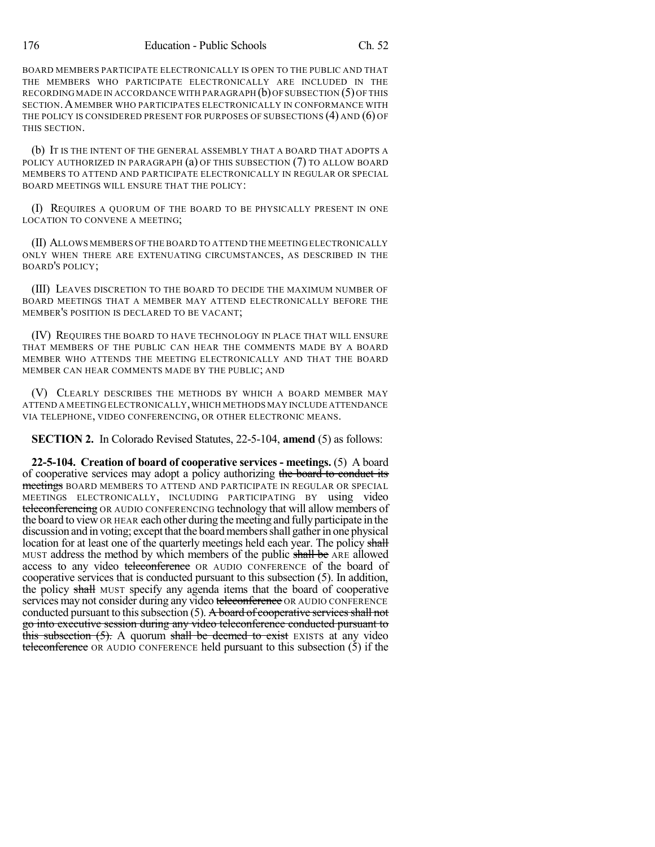BOARD MEMBERS PARTICIPATE ELECTRONICALLY IS OPEN TO THE PUBLIC AND THAT THE MEMBERS WHO PARTICIPATE ELECTRONICALLY ARE INCLUDED IN THE RECORDING MADE IN ACCORDANCE WITH PARAGRAPH  $(b)$  OF SUBSECTION  $(5)$  OF THIS SECTION.A MEMBER WHO PARTICIPATES ELECTRONICALLY IN CONFORMANCE WITH THE POLICY IS CONSIDERED PRESENT FOR PURPOSES OF SUBSECTIONS  $(4)$  AND  $(6)$  OF THIS SECTION.

(b) IT IS THE INTENT OF THE GENERAL ASSEMBLY THAT A BOARD THAT ADOPTS A POLICY AUTHORIZED IN PARAGRAPH (a) OF THIS SUBSECTION (7) TO ALLOW BOARD MEMBERS TO ATTEND AND PARTICIPATE ELECTRONICALLY IN REGULAR OR SPECIAL BOARD MEETINGS WILL ENSURE THAT THE POLICY:

(I) REQUIRES A QUORUM OF THE BOARD TO BE PHYSICALLY PRESENT IN ONE LOCATION TO CONVENE A MEETING;

(II) ALLOWS MEMBERS OF THE BOARD TO ATTEND THE MEETING ELECTRONICALLY ONLY WHEN THERE ARE EXTENUATING CIRCUMSTANCES, AS DESCRIBED IN THE BOARD'S POLICY;

(III) LEAVES DISCRETION TO THE BOARD TO DECIDE THE MAXIMUM NUMBER OF BOARD MEETINGS THAT A MEMBER MAY ATTEND ELECTRONICALLY BEFORE THE MEMBER'S POSITION IS DECLARED TO BE VACANT;

(IV) REQUIRES THE BOARD TO HAVE TECHNOLOGY IN PLACE THAT WILL ENSURE THAT MEMBERS OF THE PUBLIC CAN HEAR THE COMMENTS MADE BY A BOARD MEMBER WHO ATTENDS THE MEETING ELECTRONICALLY AND THAT THE BOARD MEMBER CAN HEAR COMMENTS MADE BY THE PUBLIC; AND

(V) CLEARLY DESCRIBES THE METHODS BY WHICH A BOARD MEMBER MAY ATTEND A MEETING ELECTRONICALLY,WHICH METHODS MAY INCLUDE ATTENDANCE VIA TELEPHONE, VIDEO CONFERENCING, OR OTHER ELECTRONIC MEANS.

**SECTION 2.** In Colorado Revised Statutes, 22-5-104, **amend** (5) as follows:

**22-5-104. Creation of board of cooperative services - meetings.** (5) A board of cooperative services may adopt a policy authorizing the board to conduct its meetings BOARD MEMBERS TO ATTEND AND PARTICIPATE IN REGULAR OR SPECIAL MEETINGS ELECTRONICALLY, INCLUDING PARTICIPATING BY using video teleconferencing OR AUDIO CONFERENCING technology that will allow members of the board to viewOR HEAR each other during the meeting and fullyparticipate in the discussion and in voting; except that the board members shall gather in one physical location for at least one of the quarterly meetings held each year. The policy shall MUST address the method by which members of the public shall be ARE allowed access to any video teleconference OR AUDIO CONFERENCE of the board of cooperative services that is conducted pursuant to this subsection (5). In addition, the policy shall MUST specify any agenda items that the board of cooperative services may not consider during any video teleconference OR AUDIO CONFERENCE conducted pursuant to this subsection  $(5)$ . A board of cooperative services shall not go into executive session during any video teleconference conducted pursuant to this subsection  $(5)$ . A quorum shall be deemed to exist EXISTS at any video teleconference OR AUDIO CONFERENCE held pursuant to this subsection (5) if the